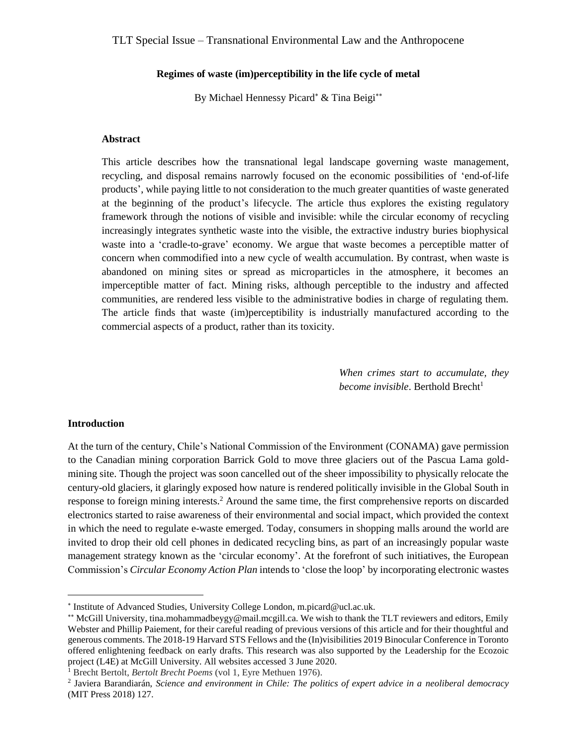#### **Regimes of waste (im)perceptibility in the life cycle of metal**

By Michael Hennessy Picard\* & Tina Beigi\*\*

#### **Abstract**

This article describes how the transnational legal landscape governing waste management, recycling, and disposal remains narrowly focused on the economic possibilities of 'end-of-life products', while paying little to not consideration to the much greater quantities of waste generated at the beginning of the product's lifecycle. The article thus explores the existing regulatory framework through the notions of visible and invisible: while the circular economy of recycling increasingly integrates synthetic waste into the visible, the extractive industry buries biophysical waste into a 'cradle-to-grave' economy. We argue that waste becomes a perceptible matter of concern when commodified into a new cycle of wealth accumulation. By contrast, when waste is abandoned on mining sites or spread as microparticles in the atmosphere, it becomes an imperceptible matter of fact. Mining risks, although perceptible to the industry and affected communities, are rendered less visible to the administrative bodies in charge of regulating them. The article finds that waste (im)perceptibility is industrially manufactured according to the commercial aspects of a product, rather than its toxicity.

> *When crimes start to accumulate, they become invisible*. Berthold Brecht<sup>1</sup>

#### **Introduction**

 $\overline{a}$ 

At the turn of the century, Chile's National Commission of the Environment (CONAMA) gave permission to the Canadian mining corporation Barrick Gold to move three glaciers out of the Pascua Lama goldmining site. Though the project was soon cancelled out of the sheer impossibility to physically relocate the century-old glaciers, it glaringly exposed how nature is rendered politically invisible in the Global South in response to foreign mining interests.<sup>2</sup> Around the same time, the first comprehensive reports on discarded electronics started to raise awareness of their environmental and social impact, which provided the context in which the need to regulate e-waste emerged. Today, consumers in shopping malls around the world are invited to drop their old cell phones in dedicated recycling bins, as part of an increasingly popular waste management strategy known as the 'circular economy'. At the forefront of such initiatives, the European Commission's *Circular Economy Action Plan* intends to 'close the loop' by incorporating electronic wastes

<sup>1</sup> Brecht Bertolt, *Bertolt Brecht Poems* (vol 1, Eyre Methuen 1976).

<sup>\*</sup> Institute of Advanced Studies, University College London, m.picard@ucl.ac.uk.

<sup>\*\*</sup> McGill University, tina.mohammadbeygy@mail.mcgill.ca. We wish to thank the TLT reviewers and editors, Emily Webster and Phillip Paiement, for their careful reading of previous versions of this article and for their thoughtful and generous comments. The 2018-19 Harvard STS Fellows and the (In)visibilities 2019 Binocular Conference in Toronto offered enlightening feedback on early drafts. This research was also supported by the Leadership for the Ecozoic project (L4E) at McGill University. All websites accessed 3 June 2020.

<sup>2</sup> Javiera Barandiarán, *Science and environment in Chile: The politics of expert advice in a neoliberal democracy* (MIT Press 2018) 127.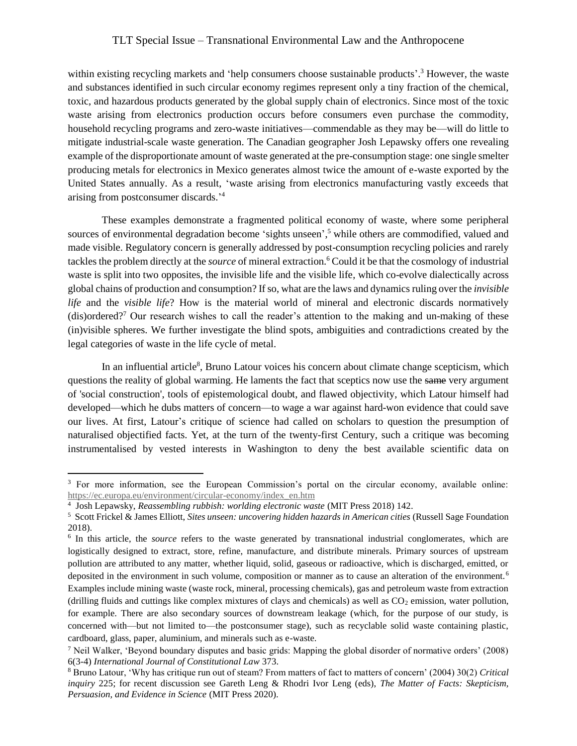within existing recycling markets and 'help consumers choose sustainable products'.<sup>3</sup> However, the waste and substances identified in such circular economy regimes represent only a tiny fraction of the chemical, toxic, and hazardous products generated by the global supply chain of electronics. Since most of the toxic waste arising from electronics production occurs before consumers even purchase the commodity, household recycling programs and zero-waste initiatives—commendable as they may be—will do little to mitigate industrial-scale waste generation. The Canadian geographer Josh Lepawsky offers one revealing example of the disproportionate amount of waste generated at the pre-consumption stage: one single smelter producing metals for electronics in Mexico generates almost twice the amount of e-waste exported by the United States annually. As a result, 'waste arising from electronics manufacturing vastly exceeds that arising from postconsumer discards.' 4

These examples demonstrate a fragmented political economy of waste, where some peripheral sources of environmental degradation become 'sights unseen',<sup>5</sup> while others are commodified, valued and made visible. Regulatory concern is generally addressed by post-consumption recycling policies and rarely tackles the problem directly at the *source* of mineral extraction.<sup>6</sup> Could it be that the cosmology of industrial waste is split into two opposites, the invisible life and the visible life, which co-evolve dialectically across global chains of production and consumption? If so, what are the laws and dynamics ruling over the *invisible life* and the *visible life*? How is the material world of mineral and electronic discards normatively (dis)ordered?<sup>7</sup> Our research wishes to call the reader's attention to the making and un-making of these (in)visible spheres. We further investigate the blind spots, ambiguities and contradictions created by the legal categories of waste in the life cycle of metal.

In an influential article<sup>8</sup>, Bruno Latour voices his concern about climate change scepticism, which questions the reality of global warming. He laments the fact that sceptics now use the same very argument of 'social construction', tools of epistemological doubt, and flawed objectivity, which Latour himself had developed—which he dubs matters of concern—to wage a war against hard-won evidence that could save our lives. At first, Latour's critique of science had called on scholars to question the presumption of naturalised objectified facts. Yet, at the turn of the twenty-first Century, such a critique was becoming instrumentalised by vested interests in Washington to deny the best available scientific data on

<sup>3</sup> For more information, see the European Commission's portal on the circular economy, available online: [https://ec.europa.eu/environment/circular-economy/index\\_en.htm](https://ec.europa.eu/environment/circular-economy/index_en.htm)

<sup>4</sup> Josh Lepawsky, *Reassembling rubbish: worlding electronic waste* (MIT Press 2018) 142.

<sup>5</sup> Scott Frickel & James Elliott, *Sites unseen: uncovering hidden hazards in American cities* (Russell Sage Foundation 2018).

<sup>&</sup>lt;sup>6</sup> In this article, the *source* refers to the waste generated by transnational industrial conglomerates, which are logistically designed to extract, store, refine, manufacture, and distribute minerals. Primary sources of upstream pollution are attributed to any matter, whether liquid, solid, gaseous or radioactive, which is discharged, emitted, or deposited in the environment in such volume, composition or manner as to cause an alteration of the environment.<sup>6</sup> Examples include mining waste (waste rock, mineral, processing chemicals), gas and petroleum waste from extraction (drilling fluids and cuttings like complex mixtures of clays and chemicals) as well as  $CO<sub>2</sub>$  emission, water pollution, for example. There are also secondary sources of downstream leakage (which, for the purpose of our study, is concerned with—but not limited to—the postconsumer stage), such as recyclable solid waste containing plastic, cardboard, glass, paper, aluminium, and minerals such as e-waste.

<sup>7</sup> Neil Walker, 'Beyond boundary disputes and basic grids: Mapping the global disorder of normative orders' (2008) 6(3-4) *International Journal of Constitutional Law* 373.

<sup>8</sup> Bruno Latour, 'Why has critique run out of steam? From matters of fact to matters of concern' (2004) 30(2) *Critical inquiry* 225; for recent discussion see Gareth Leng & Rhodri Ivor Leng (eds), *The Matter of Facts: Skepticism, Persuasion, and Evidence in Science* (MIT Press 2020).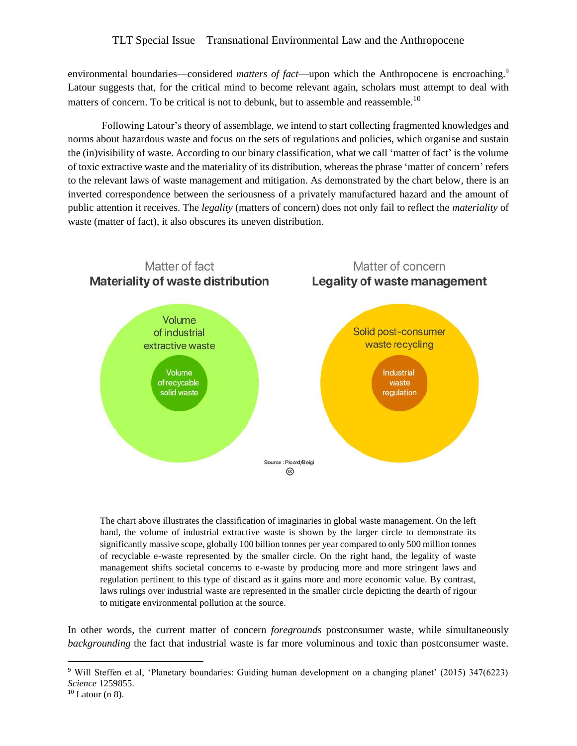environmental boundaries—considered *matters of fact*—upon which the Anthropocene is encroaching.<sup>9</sup> Latour suggests that, for the critical mind to become relevant again, scholars must attempt to deal with matters of concern. To be critical is not to debunk, but to assemble and reassemble.<sup>10</sup>

Following Latour's theory of assemblage, we intend to start collecting fragmented knowledges and norms about hazardous waste and focus on the sets of regulations and policies, which organise and sustain the (in)visibility of waste. According to our binary classification, what we call 'matter of fact' is the volume of toxic extractive waste and the materiality of its distribution, whereas the phrase 'matter of concern' refers to the relevant laws of waste management and mitigation. As demonstrated by the chart below, there is an inverted correspondence between the seriousness of a privately manufactured hazard and the amount of public attention it receives. The *legality* (matters of concern) does not only fail to reflect the *materiality* of waste (matter of fact), it also obscures its uneven distribution.



The chart above illustrates the classification of imaginaries in global waste management. On the left hand, the volume of industrial extractive waste is shown by the larger circle to demonstrate its significantly massive scope, globally 100 billion tonnes per year compared to only 500 million tonnes of recyclable e-waste represented by the smaller circle. On the right hand, the legality of waste management shifts societal concerns to e-waste by producing more and more stringent laws and regulation pertinent to this type of discard as it gains more and more economic value. By contrast, laws rulings over industrial waste are represented in the smaller circle depicting the dearth of rigour to mitigate environmental pollution at the source.

In other words, the current matter of concern *foregrounds* postconsumer waste, while simultaneously *backgrounding* the fact that industrial waste is far more voluminous and toxic than postconsumer waste.

<sup>9</sup> Will Steffen et al, 'Planetary boundaries: Guiding human development on a changing planet' (2015) 347(6223) *Science* 1259855.

 $10$  Latour (n 8).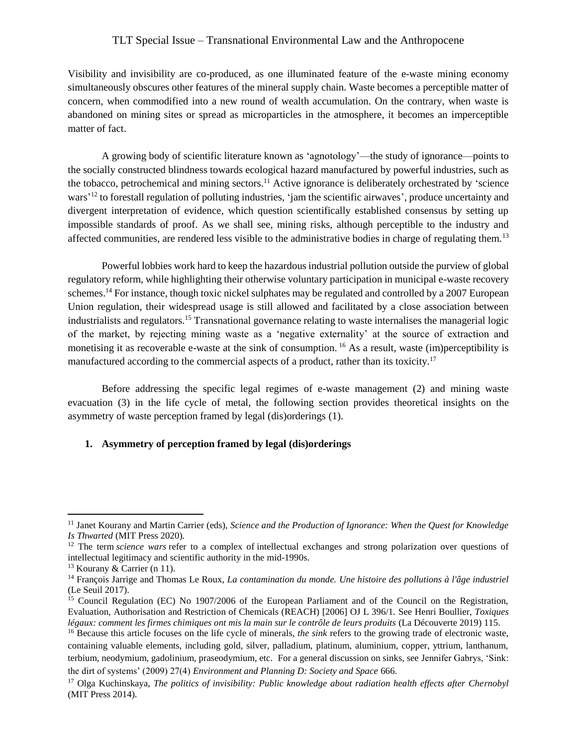Visibility and invisibility are co-produced, as one illuminated feature of the e-waste mining economy simultaneously obscures other features of the mineral supply chain. Waste becomes a perceptible matter of concern, when commodified into a new round of wealth accumulation. On the contrary, when waste is abandoned on mining sites or spread as microparticles in the atmosphere, it becomes an imperceptible matter of fact.

A growing body of scientific literature known as 'agnotology'—the study of ignorance—points to the socially constructed blindness towards ecological hazard manufactured by powerful industries, such as the tobacco, petrochemical and mining sectors.<sup>11</sup> Active ignorance is deliberately orchestrated by 'science wars'<sup>12</sup> to forestall regulation of polluting industries, 'jam the scientific airwaves', produce uncertainty and divergent interpretation of evidence, which question scientifically established consensus by setting up impossible standards of proof. As we shall see, mining risks, although perceptible to the industry and affected communities, are rendered less visible to the administrative bodies in charge of regulating them.<sup>13</sup>

Powerful lobbies work hard to keep the hazardous industrial pollution outside the purview of global regulatory reform, while highlighting their otherwise voluntary participation in municipal e-waste recovery schemes.<sup>14</sup> For instance, though toxic nickel sulphates may be regulated and controlled by a 2007 European Union regulation, their widespread usage is still allowed and facilitated by a close association between industrialists and regulators.<sup>15</sup> Transnational governance relating to waste internalises the managerial logic of the market, by rejecting mining waste as a 'negative externality' at the source of extraction and monetising it as recoverable e-waste at the sink of consumption. <sup>16</sup> As a result, waste (im)perceptibility is manufactured according to the commercial aspects of a product, rather than its toxicity.<sup>17</sup>

Before addressing the specific legal regimes of e-waste management (2) and mining waste evacuation (3) in the life cycle of metal, the following section provides theoretical insights on the asymmetry of waste perception framed by legal (dis)orderings (1).

#### **1. Asymmetry of perception framed by legal (dis)orderings**

<sup>11</sup> Janet Kourany and Martin Carrier (eds), *Science and the Production of Ignorance: When the Quest for Knowledge Is Thwarted* (MIT Press 2020).

<sup>&</sup>lt;sup>12</sup> The term *science wars* refer to a complex of intellectual exchanges and strong polarization over questions of intellectual legitimacy and scientific authority in the mid-1990s.

 $13$  Kourany & Carrier (n 11).

<sup>14</sup> François Jarrige and Thomas Le Roux, *La contamination du monde. Une histoire des pollutions à l'âge industriel* (Le Seuil 2017).

<sup>15</sup> Council Regulation (EC) No 1907/2006 of the European Parliament and of the Council on the Registration, Evaluation, Authorisation and Restriction of Chemicals (REACH) [2006] OJ L 396/1. See Henri Boullier, *Toxiques légaux: comment les firmes chimiques ont mis la main sur le contrôle de leurs produits* (La Découverte 2019) 115.

<sup>&</sup>lt;sup>16</sup> Because this article focuses on the life cycle of minerals, *the sink* refers to the growing trade of electronic waste, containing valuable elements, including gold, silver, palladium, platinum, aluminium, copper, yttrium, lanthanum, terbium, neodymium, gadolinium, praseodymium, etc. For a general discussion on sinks, see Jennifer Gabrys, 'Sink: the dirt of systems' (2009) 27(4) *Environment and Planning D: Society and Space* 666.

<sup>17</sup> Olga Kuchinskaya, *The politics of invisibility: Public knowledge about radiation health effects after Chernobyl* (MIT Press 2014).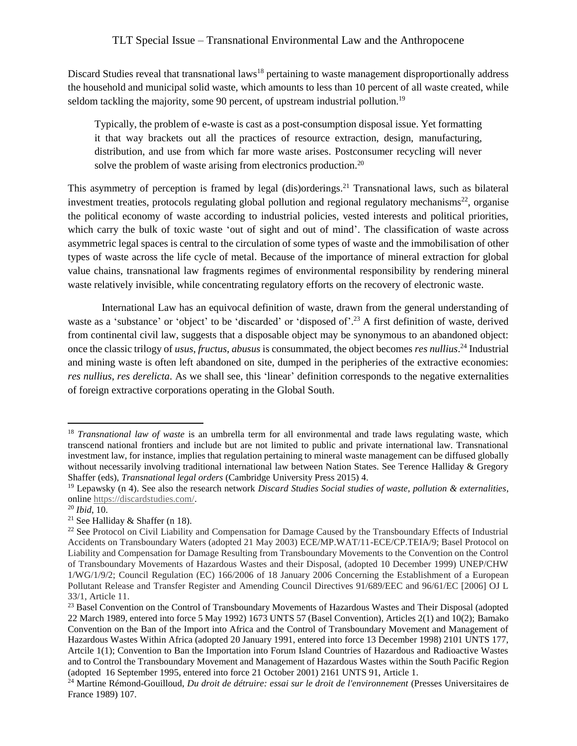Discard Studies reveal that transnational laws<sup>18</sup> pertaining to waste management disproportionally address the household and municipal solid waste, which amounts to less than 10 percent of all waste created, while seldom tackling the majority, some 90 percent, of upstream industrial pollution.<sup>19</sup>

Typically, the problem of e-waste is cast as a post-consumption disposal issue. Yet formatting it that way brackets out all the practices of resource extraction, design, manufacturing, distribution, and use from which far more waste arises. Postconsumer recycling will never solve the problem of waste arising from electronics production.<sup>20</sup>

This asymmetry of perception is framed by legal (dis)orderings.<sup>21</sup> Transnational laws, such as bilateral investment treaties, protocols regulating global pollution and regional regulatory mechanisms<sup>22</sup>, organise the political economy of waste according to industrial policies, vested interests and political priorities, which carry the bulk of toxic waste 'out of sight and out of mind'. The classification of waste across asymmetric legal spaces is central to the circulation of some types of waste and the immobilisation of other types of waste across the life cycle of metal. Because of the importance of mineral extraction for global value chains, transnational law fragments regimes of environmental responsibility by rendering mineral waste relatively invisible, while concentrating regulatory efforts on the recovery of electronic waste.

International Law has an equivocal definition of waste, drawn from the general understanding of waste as a 'substance' or 'object' to be 'discarded' or 'disposed of'.<sup>23</sup> A first definition of waste, derived from continental civil law, suggests that a disposable object may be synonymous to an abandoned object: once the classic trilogy of *usus*, *fructus*, *abusus* is consummated, the object becomes *res nullius*. <sup>24</sup> Industrial and mining waste is often left abandoned on site, dumped in the peripheries of the extractive economies: *res nullius*, *res derelicta*. As we shall see, this 'linear' definition corresponds to the negative externalities of foreign extractive corporations operating in the Global South.

<sup>18</sup> *Transnational law of waste* is an umbrella term for all environmental and trade laws regulating waste, which transcend national frontiers and include but are not limited to public and private international law. Transnational investment law, for instance, implies that regulation pertaining to mineral waste management can be diffused globally without necessarily involving traditional international law between Nation States. See Terence Halliday & Gregory Shaffer (eds), *Transnational legal orders* (Cambridge University Press 2015) 4.

<sup>19</sup> Lepawsky (n 4). See also the research network *Discard Studies Social studies of waste, pollution & externalities*, online [https://discardstudies.com/.](about:blank)

<sup>20</sup> *Ibid*, 10.

<sup>&</sup>lt;sup>21</sup> See Halliday & Shaffer (n 18).

<sup>&</sup>lt;sup>22</sup> See Protocol on Civil Liability and Compensation for Damage Caused by the Transboundary Effects of Industrial Accidents on Transboundary Waters (adopted 21 May 2003) ECE/MP.WAT/11-ECE/CP.TEIA/9; Basel Protocol on Liability and Compensation for Damage Resulting from Transboundary Movements to the Convention on the Control of Transboundary Movements of Hazardous Wastes and their Disposal, (adopted 10 December 1999) UNEP/CHW 1/WG/1/9/2; Council Regulation (EC) 166/2006 of 18 January 2006 Concerning the Establishment of a European Pollutant Release and Transfer Register and Amending Council Directives 91/689/EEC and 96/61/EC [2006] OJ L 33/1, Article 11.

<sup>&</sup>lt;sup>23</sup> Basel Convention on the Control of Transboundary Movements of Hazardous Wastes and Their Disposal (adopted 22 March 1989, entered into force 5 May 1992) 1673 UNTS 57 (Basel Convention), Articles 2(1) and 10(2); Bamako Convention on the Ban of the Import into Africa and the Control of Transboundary Movement and Management of Hazardous Wastes Within Africa (adopted 20 January 1991, entered into force 13 December 1998) 2101 UNTS 177, Artcile 1(1); Convention to Ban the Importation into Forum Island Countries of Hazardous and Radioactive Wastes and to Control the Transboundary Movement and Management of Hazardous Wastes within the South Pacific Region (adopted 16 September 1995, entered into force 21 October 2001) 2161 UNTS 91, Article 1.

<sup>24</sup> Martine Rémond-Gouilloud, *Du droit de détruire: essai sur le droit de l'environnement* (Presses Universitaires de France 1989) 107.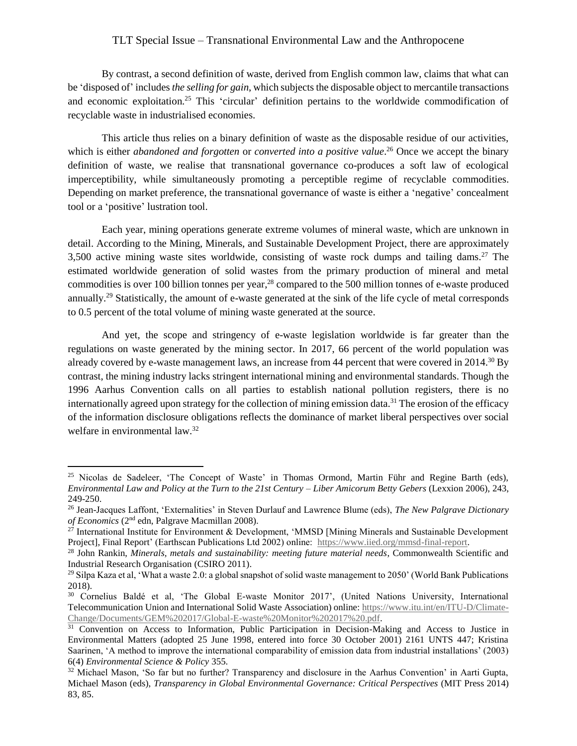By contrast, a second definition of waste, derived from English common law, claims that what can be 'disposed of' includes *the selling for gain*, which subjects the disposable object to mercantile transactions and economic exploitation.<sup>25</sup> This 'circular' definition pertains to the worldwide commodification of recyclable waste in industrialised economies.

This article thus relies on a binary definition of waste as the disposable residue of our activities, which is either *abandoned and forgotten* or *converted into a positive value*.<sup>26</sup> Once we accept the binary definition of waste, we realise that transnational governance co-produces a soft law of ecological imperceptibility, while simultaneously promoting a perceptible regime of recyclable commodities. Depending on market preference, the transnational governance of waste is either a 'negative' concealment tool or a 'positive' lustration tool.

Each year, mining operations generate extreme volumes of mineral waste, which are unknown in detail. According to the Mining, Minerals, and Sustainable Development Project, there are approximately 3,500 active mining waste sites worldwide, consisting of waste rock dumps and tailing dams.<sup>27</sup> The estimated worldwide generation of solid wastes from the primary production of mineral and metal commodities is over 100 billion tonnes per year, <sup>28</sup> compared to the 500 million tonnes of e-waste produced annually.<sup>29</sup> Statistically, the amount of e-waste generated at the sink of the life cycle of metal corresponds to 0.5 percent of the total volume of mining waste generated at the source.

And yet, the scope and stringency of e-waste legislation worldwide is far greater than the regulations on waste generated by the mining sector. In 2017, 66 percent of the world population was already covered by e-waste management laws, an increase from 44 percent that were covered in  $2014<sup>30</sup>$  By contrast, the mining industry lacks stringent international mining and environmental standards. Though the 1996 Aarhus Convention calls on all parties to establish national pollution registers, there is no internationally agreed upon strategy for the collection of mining emission data.<sup>31</sup> The erosion of the efficacy of the information disclosure obligations reflects the dominance of market liberal perspectives over social welfare in environmental law.<sup>32</sup>

 $25$  Nicolas de Sadeleer, 'The Concept of Waste' in Thomas Ormond, Martin Führ and Regine Barth (eds), *Environmental Law and Policy at the Turn to the 21st Century – Liber Amicorum Betty Gebers* (Lexxion 2006), 243, 249-250.

<sup>26</sup> Jean-Jacques Laffont, 'Externalities' in Steven Durlauf and Lawrence Blume (eds), *The New Palgrave Dictionary of Economics* (2nd edn, Palgrave Macmillan 2008).

 $27$  International Institute for Environment & Development, 'MMSD [Mining Minerals and Sustainable Development Project], Final Report' (Earthscan Publications Ltd 2002) online: [https://www.iied.org/mmsd-final-report.](about:blank)

<sup>28</sup> John Rankin, *Minerals, metals and sustainability: meeting future material needs*, Commonwealth Scientific and Industrial Research Organisation (CSIRO 2011).

<sup>&</sup>lt;sup>29</sup> Silpa Kaza et al, 'What a waste 2.0: a global snapshot of solid waste management to 2050' (World Bank Publications 2018).

<sup>&</sup>lt;sup>30</sup> Cornelius Baldé et al, 'The Global E-waste Monitor 2017', (United Nations University, International Telecommunication Union and International Solid Waste Association) online: [https://www.itu.int/en/ITU-D/Climate-](https://www.itu.int/en/ITU-D/Climate-Change/Documents/GEM%202017/Global-E-waste%20Monitor%202017%20.pdf)[Change/Documents/GEM%202017/Global-E-waste%20Monitor%202017%20.pdf.](https://www.itu.int/en/ITU-D/Climate-Change/Documents/GEM%202017/Global-E-waste%20Monitor%202017%20.pdf)

<sup>&</sup>lt;sup>31</sup> Convention on Access to Information, Public Participation in Decision-Making and Access to Justice in Environmental Matters (adopted 25 June 1998, entered into force 30 October 2001) 2161 UNTS 447; Kristina Saarinen, 'A method to improve the international comparability of emission data from industrial installations' (2003) 6(4) *Environmental Science & Policy* 355.

<sup>&</sup>lt;sup>32</sup> Michael Mason, 'So far but no further? Transparency and disclosure in the Aarhus Convention' in Aarti Gupta, Michael Mason (eds), *Transparency in Global Environmental Governance: Critical Perspectives* (MIT Press 2014) 83, 85.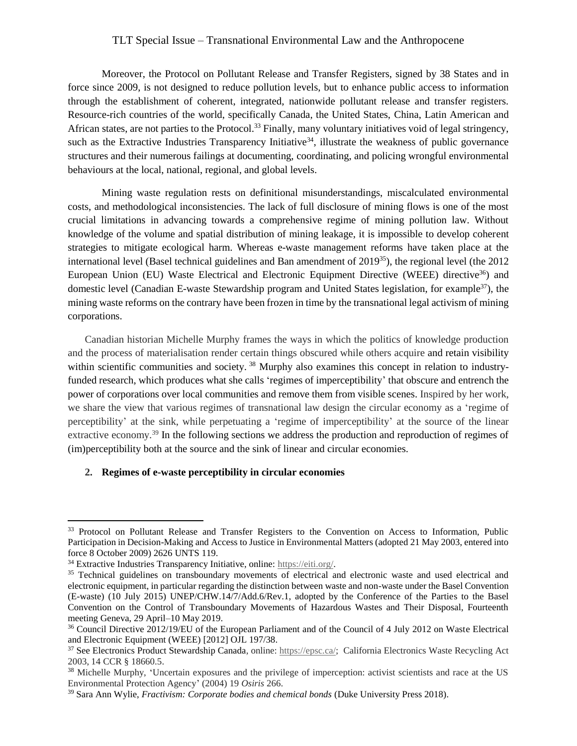Moreover, the Protocol on Pollutant Release and Transfer Registers, signed by 38 States and in force since 2009, is not designed to reduce pollution levels, but to enhance public access to information through the establishment of coherent, integrated, nationwide pollutant release and transfer registers. Resource-rich countries of the world, specifically Canada, the United States, China, Latin American and African states, are not parties to the Protocol.<sup>33</sup> Finally, many voluntary initiatives void of legal stringency, such as the Extractive Industries Transparency Initiative<sup>34</sup>, illustrate the weakness of public governance structures and their numerous failings at documenting, coordinating, and policing wrongful environmental behaviours at the local, national, regional, and global levels.

Mining waste regulation rests on definitional misunderstandings, miscalculated environmental costs, and methodological inconsistencies. The lack of full disclosure of mining flows is one of the most crucial limitations in advancing towards a comprehensive regime of mining pollution law. Without knowledge of the volume and spatial distribution of mining leakage, it is impossible to develop coherent strategies to mitigate ecological harm. Whereas e-waste management reforms have taken place at the international level (Basel technical guidelines and Ban amendment of 2019<sup>35</sup>), the regional level (the 2012 European Union (EU) Waste Electrical and Electronic Equipment Directive (WEEE) directive<sup>36</sup>) and domestic level (Canadian E-waste Stewardship program and United States legislation, for example<sup>37</sup>), the mining waste reforms on the contrary have been frozen in time by the transnational legal activism of mining corporations.

Canadian historian Michelle Murphy frames the ways in which the politics of knowledge production and the process of materialisation render certain things obscured while others acquire and retain visibility within scientific communities and society.<sup>38</sup> Murphy also examines this concept in relation to industryfunded research, which produces what she calls 'regimes of imperceptibility' that obscure and entrench the power of corporations over local communities and remove them from visible scenes. Inspired by her work, we share the view that various regimes of transnational law design the circular economy as a 'regime of perceptibility' at the sink, while perpetuating a 'regime of imperceptibility' at the source of the linear extractive economy.<sup>39</sup> In the following sections we address the production and reproduction of regimes of (im)perceptibility both at the source and the sink of linear and circular economies.

#### **2. Regimes of e-waste perceptibility in circular economies**

<sup>&</sup>lt;sup>33</sup> Protocol on Pollutant Release and Transfer Registers to the Convention on Access to Information, Public Participation in Decision-Making and Access to Justice in Environmental Matters (adopted 21 May 2003, entered into force 8 October 2009) 2626 UNTS 119.

<sup>34</sup> Extractive Industries Transparency Initiative, online: [https://eiti.org/.](https://eiti.org/)

<sup>&</sup>lt;sup>35</sup> Technical guidelines on transboundary movements of electrical and electronic waste and used electrical and electronic equipment, in particular regarding the distinction between waste and non-waste under the Basel Convention (E-waste) (10 July 2015) UNEP/CHW.14/7/Add.6/Rev.1, adopted by the Conference of the Parties to the Basel Convention on the Control of Transboundary Movements of Hazardous Wastes and Their Disposal, Fourteenth meeting Geneva, 29 April–10 May 2019.

<sup>36</sup> Council Directive 2012/19/EU of the European Parliament and of the Council of 4 July 2012 on Waste Electrical and Electronic Equipment (WEEE) [2012] OJL 197/38.

<sup>37</sup> See Electronics Product Stewardship Canada, online[: https://epsc.ca/;](https://epsc.ca/) California Electronics Waste Recycling Act 2003, 14 CCR § 18660.5.

<sup>&</sup>lt;sup>38</sup> Michelle Murphy, 'Uncertain exposures and the privilege of imperception: activist scientists and race at the US Environmental Protection Agency' (2004) 19 *Osiris* 266.

<sup>39</sup> Sara Ann Wylie, *Fractivism: Corporate bodies and chemical bonds* (Duke University Press 2018).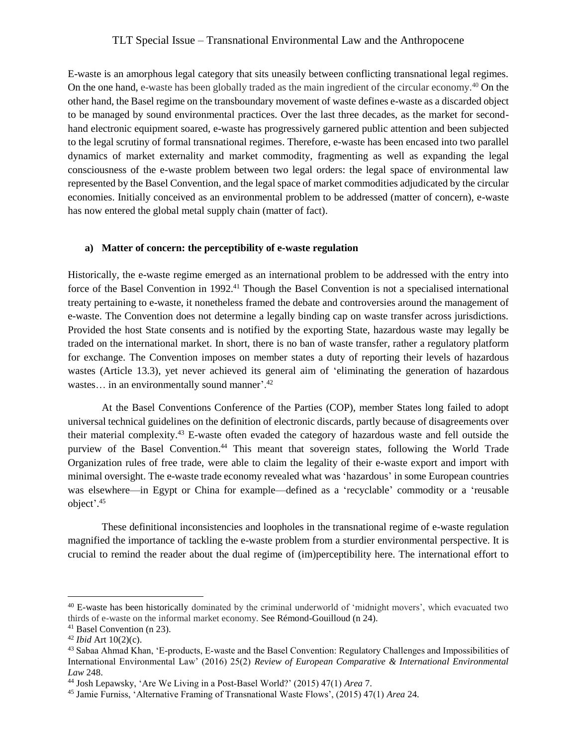E-waste is an amorphous legal category that sits uneasily between conflicting transnational legal regimes. On the one hand, e-waste has been globally traded as the main ingredient of the circular economy.<sup>40</sup> On the other hand, the Basel regime on the transboundary movement of waste defines e-waste as a discarded object to be managed by sound environmental practices. Over the last three decades, as the market for secondhand electronic equipment soared, e-waste has progressively garnered public attention and been subjected to the legal scrutiny of formal transnational regimes. Therefore, e-waste has been encased into two parallel dynamics of market externality and market commodity, fragmenting as well as expanding the legal consciousness of the e-waste problem between two legal orders: the legal space of environmental law represented by the Basel Convention, and the legal space of market commodities adjudicated by the circular economies. Initially conceived as an environmental problem to be addressed (matter of concern), e-waste has now entered the global metal supply chain (matter of fact).

#### **a) Matter of concern: the perceptibility of e-waste regulation**

Historically, the e-waste regime emerged as an international problem to be addressed with the entry into force of the Basel Convention in 1992.<sup>41</sup> Though the Basel Convention is not a specialised international treaty pertaining to e-waste, it nonetheless framed the debate and controversies around the management of e-waste. The Convention does not determine a legally binding cap on waste transfer across jurisdictions. Provided the host State consents and is notified by the exporting State, hazardous waste may legally be traded on the international market. In short, there is no ban of waste transfer, rather a regulatory platform for exchange. The Convention imposes on member states a duty of reporting their levels of hazardous wastes (Article 13.3), yet never achieved its general aim of 'eliminating the generation of hazardous wastes... in an environmentally sound manner'.<sup>42</sup>

At the Basel Conventions Conference of the Parties (COP), member States long failed to adopt universal technical guidelines on the definition of electronic discards, partly because of disagreements over their material complexity. <sup>43</sup> E-waste often evaded the category of hazardous waste and fell outside the purview of the Basel Convention. <sup>44</sup> This meant that sovereign states, following the World Trade Organization rules of free trade, were able to claim the legality of their e-waste export and import with minimal oversight. The e-waste trade economy revealed what was 'hazardous' in some European countries was elsewhere—in Egypt or China for example—defined as a 'recyclable' commodity or a 'reusable object'. 45

These definitional inconsistencies and loopholes in the transnational regime of e-waste regulation magnified the importance of tackling the e-waste problem from a sturdier environmental perspective. It is crucial to remind the reader about the dual regime of (im)perceptibility here. The international effort to

<sup>40</sup> E-waste has been historically dominated by the criminal underworld of 'midnight movers', which evacuated two thirds of e-waste on the informal market economy. See Rémond-Gouilloud (n 24).

<sup>41</sup> Basel Convention (n 23).

<sup>42</sup> *Ibid* Art 10(2)(c).

<sup>43</sup> Sabaa Ahmad Khan, 'E-products, E-waste and the Basel Convention: Regulatory Challenges and Impossibilities of International Environmental Law' (2016) 25(2) *Review of European Comparative & International Environmental Law* 248.

<sup>44</sup> Josh Lepawsky, 'Are We Living in a Post‐Basel World?' (2015) 47(1) *Area* 7.

<sup>45</sup> Jamie Furniss, 'Alternative Framing of Transnational Waste Flows', (2015) 47(1) *Area* 24.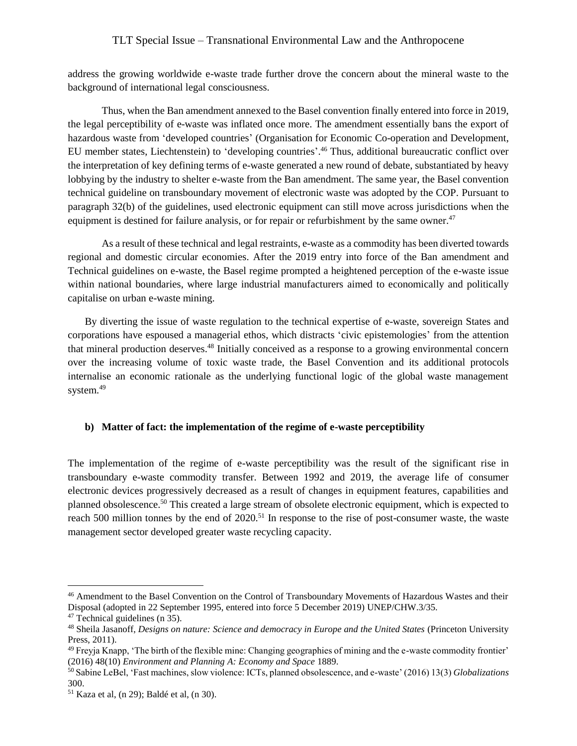address the growing worldwide e-waste trade further drove the concern about the mineral waste to the background of international legal consciousness.

Thus, when the Ban amendment annexed to the Basel convention finally entered into force in 2019, the legal perceptibility of e-waste was inflated once more. The amendment essentially bans the export of hazardous waste from 'developed countries' (Organisation for Economic Co-operation and Development, EU member states, Liechtenstein) to 'developing countries'. <sup>46</sup> Thus, additional bureaucratic conflict over the interpretation of key defining terms of e-waste generated a new round of debate, substantiated by heavy lobbying by the industry to shelter e-waste from the Ban amendment. The same year, the Basel convention technical guideline on transboundary movement of electronic waste was adopted by the COP. Pursuant to paragraph 32(b) of the guidelines, used electronic equipment can still move across jurisdictions when the equipment is destined for failure analysis, or for repair or refurbishment by the same owner.<sup>47</sup>

As a result of these technical and legal restraints, e-waste as a commodity has been diverted towards regional and domestic circular economies. After the 2019 entry into force of the Ban amendment and Technical guidelines on e-waste, the Basel regime prompted a heightened perception of the e-waste issue within national boundaries, where large industrial manufacturers aimed to economically and politically capitalise on urban e-waste mining.

By diverting the issue of waste regulation to the technical expertise of e-waste, sovereign States and corporations have espoused a managerial ethos, which distracts 'civic epistemologies' from the attention that mineral production deserves. <sup>48</sup> Initially conceived as a response to a growing environmental concern over the increasing volume of toxic waste trade, the Basel Convention and its additional protocols internalise an economic rationale as the underlying functional logic of the global waste management system.<sup>49</sup>

### **b) Matter of fact: the implementation of the regime of e-waste perceptibility**

The implementation of the regime of e-waste perceptibility was the result of the significant rise in transboundary e-waste commodity transfer. Between 1992 and 2019, the average life of consumer electronic devices progressively decreased as a result of changes in equipment features, capabilities and planned obsolescence.<sup>50</sup> This created a large stream of obsolete electronic equipment, which is expected to reach 500 million tonnes by the end of 2020.<sup>51</sup> In response to the rise of post-consumer waste, the waste management sector developed greater waste recycling capacity.

<sup>46</sup> Amendment to the Basel Convention on the Control of Transboundary Movements of Hazardous Wastes and their Disposal (adopted in 22 September 1995, entered into force 5 December 2019) UNEP/CHW.3/35.

<sup>47</sup> Technical guidelines (n 35).

<sup>48</sup> Sheila Jasanoff, *Designs on nature: Science and democracy in Europe and the United States* (Princeton University Press, 2011).

 $49$  Freyja Knapp, 'The birth of the flexible mine: Changing geographies of mining and the e-waste commodity frontier' (2016) 48(10) *Environment and Planning A: Economy and Space* 1889.

<sup>50</sup> Sabine LeBel, 'Fast machines, slow violence: ICTs, planned obsolescence, and e-waste' (2016) 13(3) *Globalizations* 300.

<sup>51</sup> Kaza et al, (n 29); Baldé et al, (n 30).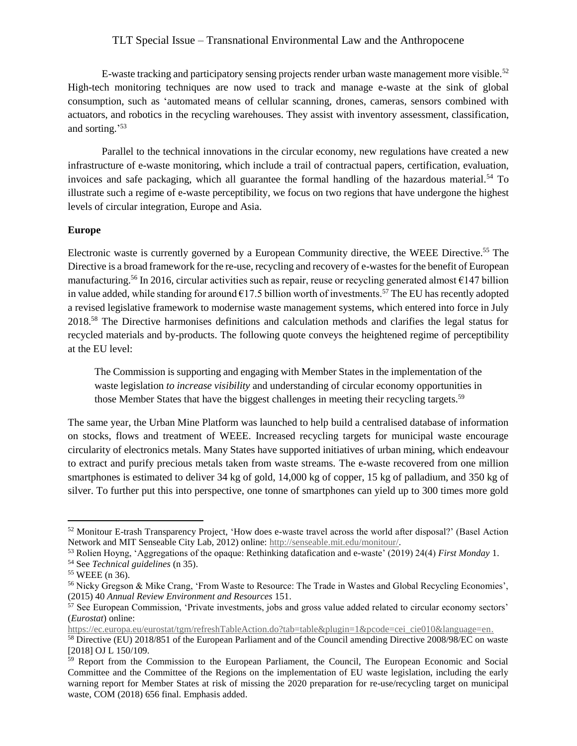E-waste tracking and participatory sensing projects render urban waste management more visible.<sup>52</sup> High-tech monitoring techniques are now used to track and manage e-waste at the sink of global consumption, such as 'automated means of cellular scanning, drones, cameras, sensors combined with actuators, and robotics in the recycling warehouses. They assist with inventory assessment, classification, and sorting.' 53

Parallel to the technical innovations in the circular economy, new regulations have created a new infrastructure of e-waste monitoring, which include a trail of contractual papers, certification, evaluation, invoices and safe packaging, which all guarantee the formal handling of the hazardous material.<sup>54</sup> To illustrate such a regime of e-waste perceptibility, we focus on two regions that have undergone the highest levels of circular integration, Europe and Asia.

#### **Europe**

Electronic waste is currently governed by a European Community directive, the WEEE Directive.<sup>55</sup> The Directive is a broad framework for the re-use, recycling and recovery of e-wastes for the benefit of European manufacturing.<sup>56</sup> In 2016, circular activities such as repair, reuse or recycling generated almost  $\epsilon$ 147 billion in value added, while standing for around  $\epsilon$ 17.5 billion worth of investments.<sup>57</sup> The EU has recently adopted a revised legislative framework to modernise waste management systems, which entered into force in July 2018.<sup>58</sup> The Directive harmonises definitions and calculation methods and clarifies the legal status for recycled materials and by-products. The following quote conveys the heightened regime of perceptibility at the EU level:

The Commission is supporting and engaging with Member States in the implementation of the waste legislation *to increase visibility* and understanding of circular economy opportunities in those Member States that have the biggest challenges in meeting their recycling targets.<sup>59</sup>

The same year, the Urban Mine Platform was launched to help build a centralised database of information on stocks, flows and treatment of WEEE. Increased recycling targets for municipal waste encourage circularity of electronics metals. Many States have supported initiatives of urban mining, which endeavour to extract and purify precious metals taken from waste streams. The e-waste recovered from one million smartphones is estimated to deliver 34 kg of gold, 14,000 kg of copper, 15 kg of palladium, and 350 kg of silver. To further put this into perspective, one tonne of smartphones can yield up to 300 times more gold

 $\overline{a}$ 

[https://ec.europa.eu/eurostat/tgm/refreshTableAction.do?tab=table&plugin=1&pcode=cei\\_cie010&language=en.](https://ec.europa.eu/eurostat/tgm/refreshTableAction.do?tab=table&plugin=1&pcode=cei_cie010&language=en)

<sup>52</sup> Monitour E-trash Transparency Project, 'How does e-waste travel across the world after disposal?' (Basel Action Network and MIT Senseable City Lab, 2012) online: [http://senseable.mit.edu/monitour/.](http://senseable.mit.edu/monitour/)

<sup>53</sup> Rolien Hoyng, 'Aggregations of the opaque: Rethinking datafication and e-waste' (2019) 24(4) *First Monday* 1.

<sup>54</sup> See *Technical guidelines* (n 35).

<sup>55</sup> WEEE (n 36).

<sup>56</sup> Nicky Gregson & Mike Crang, 'From Waste to Resource: The Trade in Wastes and Global Recycling Economies', (2015) 40 *Annual Review Environment and Resources* 151.

<sup>57</sup> See European Commission, 'Private investments, jobs and gross value added related to circular economy sectors' (*Eurostat*) online:

<sup>58</sup> Directive (EU) 2018/851 of the European Parliament and of the Council amending Directive 2008/98/EC on waste [2018] OJ L 150/109.

<sup>&</sup>lt;sup>59</sup> Report from the Commission to the European Parliament, the Council, The European Economic and Social Committee and the Committee of the Regions on the implementation of EU waste legislation, including the early warning report for Member States at risk of missing the 2020 preparation for re-use/recycling target on municipal waste, COM (2018) 656 final. Emphasis added.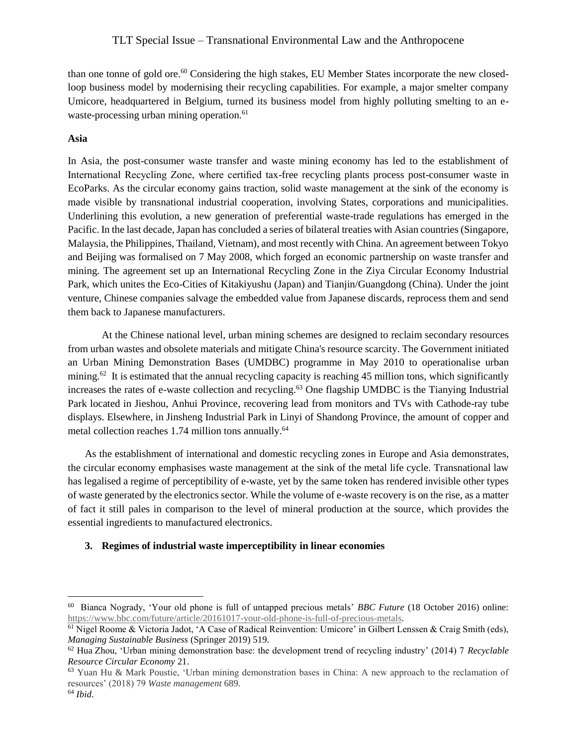than one tonne of gold ore.<sup>60</sup> Considering the high stakes, EU Member States incorporate the new closedloop business model by modernising their recycling capabilities. For example, a major smelter company Umicore, headquartered in Belgium, turned its business model from highly polluting smelting to an ewaste-processing urban mining operation.<sup>61</sup>

## **Asia**

In Asia, the post-consumer waste transfer and waste mining economy has led to the establishment of International Recycling Zone, where certified tax-free recycling plants process post-consumer waste in EcoParks. As the circular economy gains traction, solid waste management at the sink of the economy is made visible by transnational industrial cooperation, involving States, corporations and municipalities. Underlining this evolution, a new generation of preferential waste-trade regulations has emerged in the Pacific. In the last decade, Japan has concluded a series of bilateral treaties with Asian countries (Singapore, Malaysia, the Philippines, Thailand, Vietnam), and most recently with China. An agreement between Tokyo and Beijing was formalised on 7 May 2008, which forged an economic partnership on waste transfer and mining. The agreement set up an International Recycling Zone in the Ziya Circular Economy Industrial Park, which unites the Eco-Cities of Kitakiyushu (Japan) and Tianjin/Guangdong (China). Under the joint venture, Chinese companies salvage the embedded value from Japanese discards, reprocess them and send them back to Japanese manufacturers.

At the Chinese national level, urban mining schemes are designed to reclaim secondary resources from urban wastes and obsolete materials and mitigate China's resource scarcity. The Government initiated an Urban Mining Demonstration Bases (UMDBC) programme in May 2010 to operationalise urban mining.<sup>62</sup> It is estimated that the annual recycling capacity is reaching 45 million tons, which significantly increases the rates of e-waste collection and recycling. <sup>63</sup> One flagship UMDBC is the Tianying Industrial Park located in Jieshou, Anhui Province, recovering lead from monitors and TVs with Cathode-ray tube displays. Elsewhere, in Jinsheng Industrial Park in Linyi of Shandong Province, the amount of copper and metal collection reaches 1.74 million tons annually.<sup>64</sup>

As the establishment of international and domestic recycling zones in Europe and Asia demonstrates, the circular economy emphasises waste management at the sink of the metal life cycle. Transnational law has legalised a regime of perceptibility of e-waste, yet by the same token has rendered invisible other types of waste generated by the electronics sector. While the volume of e-waste recovery is on the rise, as a matter of fact it still pales in comparison to the level of mineral production at the source, which provides the essential ingredients to manufactured electronics.

# **3. Regimes of industrial waste imperceptibility in linear economies**

<sup>60</sup> Bianca Nogrady, 'Your old phone is full of untapped precious metals' *BBC Future* (18 October 2016) online: [https://www.bbc.com/future/article/20161017-your-old-phone-is-full-of-precious-metals.](https://www.bbc.com/future/article/20161017-your-old-phone-is-full-of-precious-metals)

<sup>&</sup>lt;sup>61</sup> Nigel Roome & Victoria Jadot, 'A Case of Radical Reinvention: Umicore' in Gilbert Lenssen & Craig Smith (eds), *Managing Sustainable Business* (Springer 2019) 519.

<sup>62</sup> Hua Zhou, 'Urban mining demonstration base: the development trend of recycling industry' (2014) 7 *Recyclable Resource Circular Economy* 21.

<sup>63</sup> Yuan Hu & Mark Poustie, 'Urban mining demonstration bases in China: A new approach to the reclamation of resources' (2018) 79 *Waste management* 689.

<sup>64</sup> *Ibid*.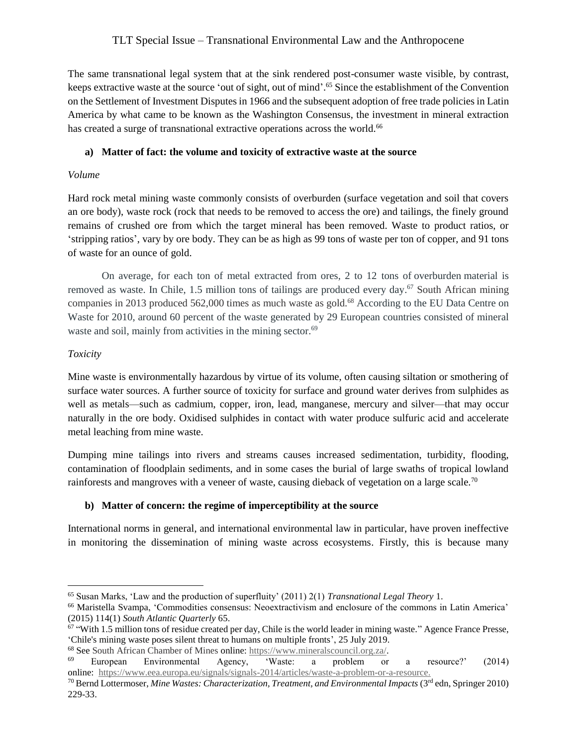The same transnational legal system that at the sink rendered post-consumer waste visible, by contrast, keeps extractive waste at the source 'out of sight, out of mind'. <sup>65</sup> Since the establishment of the Convention on the Settlement of Investment Disputes in 1966 and the subsequent adoption of free trade policies in Latin America by what came to be known as the Washington Consensus, the investment in mineral extraction has created a surge of transnational extractive operations across the world.<sup>66</sup>

## **a) Matter of fact: the volume and toxicity of extractive waste at the source**

## *Volume*

Hard rock metal mining waste commonly consists of overburden (surface vegetation and soil that covers an ore body), waste rock (rock that needs to be removed to access the ore) and tailings, the finely ground remains of crushed ore from which the target mineral has been removed. Waste to product ratios, or 'stripping ratios', vary by ore body. They can be as high as 99 tons of waste per ton of copper, and 91 tons of waste for an ounce of gold.

On average, for each ton of metal extracted from ores, 2 to 12 tons of overburden material is removed as waste. In Chile, 1.5 million tons of tailings are produced every day.<sup>67</sup> South African mining companies in 2013 produced 562,000 times as much waste as gold.<sup>68</sup> According to the EU Data Centre on Waste for 2010, around 60 percent of the waste generated by 29 European countries consisted of mineral waste and soil, mainly from activities in the mining sector.<sup>69</sup>

## *Toxicity*

 $\overline{a}$ 

Mine waste is environmentally hazardous by virtue of its volume, often causing siltation or smothering of surface water sources. A further source of toxicity for surface and ground water derives from sulphides as well as metals—such as cadmium, copper, iron, lead, manganese, mercury and silver—that may occur naturally in the ore body. Oxidised sulphides in contact with water produce sulfuric acid and accelerate metal leaching from mine waste.

Dumping mine tailings into rivers and streams causes increased sedimentation, turbidity, flooding, contamination of floodplain sediments, and in some cases the burial of large swaths of tropical lowland rainforests and mangroves with a veneer of waste, causing dieback of vegetation on a large scale.<sup>70</sup>

# **b) Matter of concern: the regime of imperceptibility at the source**

International norms in general, and international environmental law in particular, have proven ineffective in monitoring the dissemination of mining waste across ecosystems. Firstly, this is because many

<sup>65</sup> Susan Marks, 'Law and the production of superfluity' (2011) 2(1) *Transnational Legal Theory* 1.

<sup>66</sup> Maristella Svampa, 'Commodities consensus: Neoextractivism and enclosure of the commons in Latin America' (2015) 114(1) *South Atlantic Quarterly* 65.

<sup>&</sup>lt;sup>67</sup> "With 1.5 million tons of residue created per day, Chile is the world leader in mining waste." Agence France Presse, 'Chile's mining waste poses silent threat to humans on multiple fronts', 25 July 2019.

<sup>&</sup>lt;sup>68</sup> See South African Chamber of Mines online: [https://www.mineralscouncil.org.za/.](about:blank)<br><sup>69</sup> European Environmental Agency Waste: a problem or <sup>69</sup> European Environmental Agency, 'Waste: a problem or a resource?' (2014) online: [https://www.eea.europa.eu/signals/signals-2014/articles/waste-a-problem-or-a-resource.](about:blank)

<sup>70</sup> Bernd Lottermoser, *Mine Wastes: Characterization, Treatment, and Environmental Impacts* (3rd edn, Springer 2010) 229-33.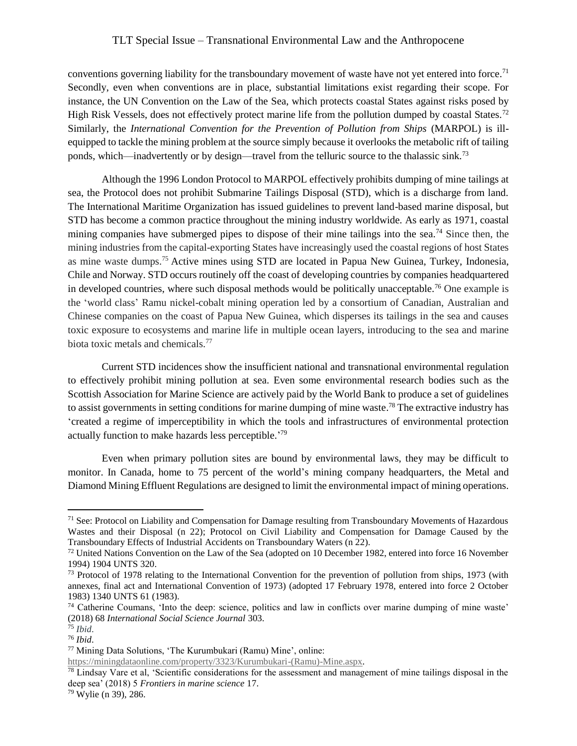conventions governing liability for the transboundary movement of waste have not yet entered into force.<sup>71</sup> Secondly, even when conventions are in place, substantial limitations exist regarding their scope. For instance, the UN Convention on the Law of the Sea, which protects coastal States against risks posed by High Risk Vessels, does not effectively protect marine life from the pollution dumped by coastal States.<sup>72</sup> Similarly, the *International Convention for the Prevention of Pollution from Ships* (MARPOL) is illequipped to tackle the mining problem at the source simply because it overlooks the metabolic rift of tailing ponds, which—inadvertently or by design—travel from the telluric source to the thalassic sink.<sup>73</sup>

Although the 1996 London Protocol to MARPOL effectively prohibits dumping of mine tailings at sea, the Protocol does not prohibit Submarine Tailings Disposal (STD), which is a discharge from land. The International Maritime Organization has issued guidelines to prevent land-based marine disposal, but STD has become a common practice throughout the mining industry worldwide. As early as 1971, coastal mining companies have submerged pipes to dispose of their mine tailings into the sea.<sup>74</sup> Since then, the mining industries from the capital-exporting States have increasingly used the coastal regions of host States as mine waste dumps.<sup>75</sup> Active mines using STD are located in Papua New Guinea, Turkey, Indonesia, Chile and Norway. STD occurs routinely off the coast of developing countries by companies headquartered in developed countries, where such disposal methods would be politically unacceptable.<sup>76</sup> One example is the 'world class' Ramu nickel-cobalt mining operation led by a consortium of Canadian, Australian and Chinese companies on the coast of Papua New Guinea, which disperses its tailings in the sea and causes toxic exposure to ecosystems and marine life in multiple ocean layers, introducing to the sea and marine biota toxic metals and chemicals.<sup>77</sup>

Current STD incidences show the insufficient national and transnational environmental regulation to effectively prohibit mining pollution at sea. Even some environmental research bodies such as the Scottish Association for Marine Science are actively paid by the World Bank to produce a set of guidelines to assist governments in setting conditions for marine dumping of mine waste. <sup>78</sup> The extractive industry has 'created a regime of imperceptibility in which the tools and infrastructures of environmental protection actually function to make hazards less perceptible.' 79

Even when primary pollution sites are bound by environmental laws, they may be difficult to monitor. In Canada, home to 75 percent of the world's mining company headquarters, the Metal and Diamond Mining Effluent Regulations are designed to limit the environmental impact of mining operations.

<sup>&</sup>lt;sup>71</sup> See: Protocol on Liability and Compensation for Damage resulting from Transboundary Movements of Hazardous Wastes and their Disposal (n 22); Protocol on Civil Liability and Compensation for Damage Caused by the Transboundary Effects of Industrial Accidents on Transboundary Waters (n 22).

<sup>&</sup>lt;sup>72</sup> United Nations Convention on the Law of the Sea (adopted on 10 December 1982, entered into force 16 November 1994) 1904 UNTS 320.

<sup>&</sup>lt;sup>73</sup> Protocol of 1978 relating to the International Convention for the prevention of pollution from ships, 1973 (with annexes, final act and International Convention of 1973) (adopted 17 February 1978, entered into force 2 October 1983) 1340 UNTS 61 (1983).

<sup>74</sup> Catherine Coumans, 'Into the deep: science, politics and law in conflicts over marine dumping of mine waste' (2018) 68 *International Social Science Journal* 303.

<sup>75</sup> *Ibid*.

<sup>76</sup> *Ibid*.

<sup>77</sup> Mining Data Solutions, 'The Kurumbukari (Ramu) Mine', online:

[https://miningdataonline.com/property/3323/Kurumbukari-\(Ramu\)-Mine.aspx.](https://miningdataonline.com/property/3323/Kurumbukari-(Ramu)-Mine.aspx)

 $78$  Lindsay Vare et al, 'Scientific considerations for the assessment and management of mine tailings disposal in the deep sea' (2018) 5 *Frontiers in marine science* 17.

<sup>79</sup> Wylie (n 39), 286.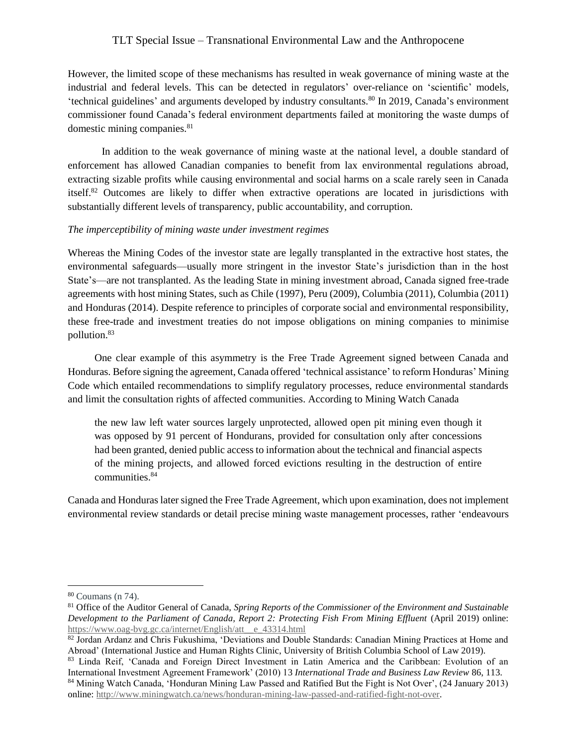However, the limited scope of these mechanisms has resulted in weak governance of mining waste at the industrial and federal levels. This can be detected in regulators' over-reliance on 'scientific' models, 'technical guidelines' and arguments developed by industry consultants.<sup>80</sup> In 2019, Canada's environment commissioner found Canada's federal environment departments failed at monitoring the waste dumps of domestic mining companies.<sup>81</sup>

In addition to the weak governance of mining waste at the national level, a double standard of enforcement has allowed Canadian companies to benefit from lax environmental regulations abroad, extracting sizable profits while causing environmental and social harms on a scale rarely seen in Canada itself.<sup>82</sup> Outcomes are likely to differ when extractive operations are located in jurisdictions with substantially different levels of transparency, public accountability, and corruption.

### *The imperceptibility of mining waste under investment regimes*

Whereas the Mining Codes of the investor state are legally transplanted in the extractive host states, the environmental safeguards—usually more stringent in the investor State's jurisdiction than in the host State's—are not transplanted. As the leading State in mining investment abroad, Canada signed free-trade agreements with host mining States, such as Chile (1997), Peru (2009), Columbia (2011), Columbia (2011) and Honduras (2014). Despite reference to principles of corporate social and environmental responsibility, these free-trade and investment treaties do not impose obligations on mining companies to minimise pollution.<sup>83</sup>

One clear example of this asymmetry is the Free Trade Agreement signed between Canada and Honduras. Before signing the agreement, Canada offered 'technical assistance' to reform Honduras' Mining Code which entailed recommendations to simplify regulatory processes, reduce environmental standards and limit the consultation rights of affected communities. According to Mining Watch Canada

the new law left water sources largely unprotected, allowed open pit mining even though it was opposed by 91 percent of Hondurans, provided for consultation only after concessions had been granted, denied public access to information about the technical and financial aspects of the mining projects, and allowed forced evictions resulting in the destruction of entire communities.<sup>84</sup>

Canada and Honduras later signed the Free Trade Agreement, which upon examination, does not implement environmental review standards or detail precise mining waste management processes, rather 'endeavours

<sup>80</sup> Coumans (n 74).

<sup>81</sup> Office of the Auditor General of Canada, *Spring Reports of the Commissioner of the Environment and Sustainable Development to the Parliament of Canada, Report 2: Protecting Fish From Mining Effluent* (April 2019) online: [https://www.oag-bvg.gc.ca/internet/English/att\\_\\_e\\_43314.html](https://www.oag-bvg.gc.ca/internet/English/att__e_43314.html)

<sup>82</sup> Jordan Ardanz and Chris Fukushima, 'Deviations and Double Standards: Canadian Mining Practices at Home and Abroad' (International Justice and Human Rights Clinic, University of British Columbia School of Law 2019).

<sup>83</sup> Linda Reif, 'Canada and Foreign Direct Investment in Latin America and the Caribbean: Evolution of an International Investment Agreement Framework' (2010) 13 *International Trade and Business Law Review* 86, 113.

<sup>84</sup> Mining Watch Canada, 'Honduran Mining Law Passed and Ratified But the Fight is Not Over', (24 January 2013) online: [http://www.miningwatch.ca/news/honduran-mining-law-passed-and-ratified-fight-not-over.](http://www.miningwatch.ca/news/honduran-mining-law-passed-and-ratified-fight-not-over)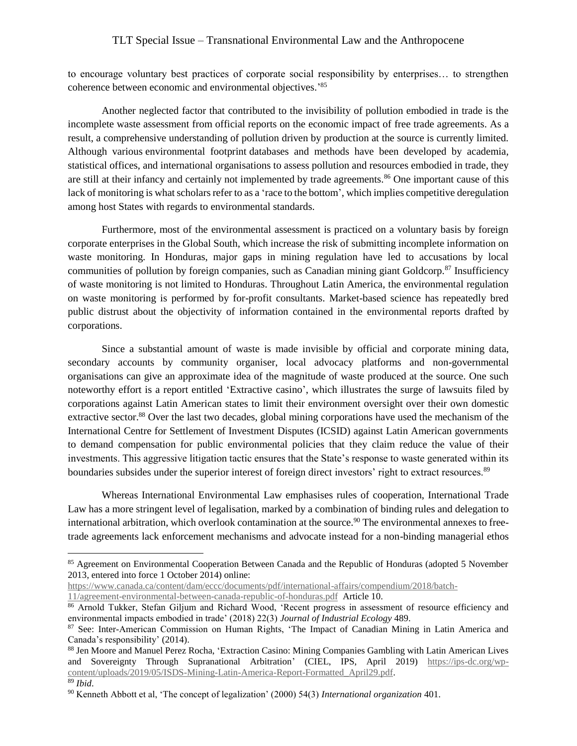to encourage voluntary best practices of corporate social responsibility by enterprises… to strengthen coherence between economic and environmental objectives.'<sup>85</sup>

Another neglected factor that contributed to the invisibility of pollution embodied in trade is the incomplete waste assessment from official reports on the economic impact of free trade agreements. As a result, a comprehensive understanding of pollution driven by production at the source is currently limited. Although various environmental footprint databases and methods have been developed by academia, statistical offices, and international organisations to assess pollution and resources embodied in trade, they are still at their infancy and certainly not implemented by trade agreements.<sup>86</sup> One important cause of this lack of monitoring is what scholars refer to as a 'race to the bottom', which implies competitive deregulation among host States with regards to environmental standards.

Furthermore, most of the environmental assessment is practiced on a voluntary basis by foreign corporate enterprises in the Global South, which increase the risk of submitting incomplete information on waste monitoring. In Honduras, major gaps in mining regulation have led to accusations by local communities of pollution by foreign companies, such as Canadian mining giant Goldcorp.<sup>87</sup> Insufficiency of waste monitoring is not limited to Honduras. Throughout Latin America, the environmental regulation on waste monitoring is performed by for-profit consultants. Market-based science has repeatedly bred public distrust about the objectivity of information contained in the environmental reports drafted by corporations.

Since a substantial amount of waste is made invisible by official and corporate mining data, secondary accounts by community organiser, local advocacy platforms and non-governmental organisations can give an approximate idea of the magnitude of waste produced at the source. One such noteworthy effort is a report entitled 'Extractive casino', which illustrates the surge of lawsuits filed by corporations against Latin American states to limit their environment oversight over their own domestic extractive sector.<sup>88</sup> Over the last two decades, global mining corporations have used the mechanism of the International Centre for Settlement of Investment Disputes (ICSID) against Latin American governments to demand compensation for public environmental policies that they claim reduce the value of their investments. This aggressive litigation tactic ensures that the State's response to waste generated within its boundaries subsides under the superior interest of foreign direct investors' right to extract resources.<sup>89</sup>

Whereas International Environmental Law emphasises rules of cooperation, International Trade Law has a more stringent level of legalisation, marked by a combination of binding rules and delegation to international arbitration, which overlook contamination at the source.<sup>90</sup> The environmental annexes to freetrade agreements lack enforcement mechanisms and advocate instead for a non-binding managerial ethos

[https://www.canada.ca/content/dam/eccc/documents/pdf/international-affairs/compendium/2018/batch-](https://www.canada.ca/content/dam/eccc/documents/pdf/international-affairs/compendium/2018/batch-11/agreement-environmental-between-canada-republic-of-honduras.pdf)

[11/agreement-environmental-between-canada-republic-of-honduras.pdf](https://www.canada.ca/content/dam/eccc/documents/pdf/international-affairs/compendium/2018/batch-11/agreement-environmental-between-canada-republic-of-honduras.pdf) Article 10.

<sup>85</sup> Agreement on Environmental Cooperation Between Canada and the Republic of Honduras (adopted 5 November 2013, entered into force 1 October 2014) online:

<sup>86</sup> Arnold Tukker, Stefan Giljum and Richard Wood, 'Recent progress in assessment of resource efficiency and environmental impacts embodied in trade' (2018) 22(3) *Journal of Industrial Ecology* 489.

<sup>87</sup> See: Inter-American Commission on Human Rights, 'The Impact of Canadian Mining in Latin America and Canada's responsibility' (2014).

<sup>88</sup> Jen Moore and Manuel Perez Rocha, 'Extraction Casino: Mining Companies Gambling with Latin American Lives and Sovereignty Through Supranational Arbitration' (CIEL, IPS, April 2019) [https://ips-dc.org/wp](about:blank)[content/uploads/2019/05/ISDS-Mining-Latin-America-Report-Formatted\\_April29.pdf.](about:blank)

<sup>89</sup> *Ibid*.

<sup>90</sup> Kenneth Abbott et al, 'The concept of legalization' (2000) 54(3) *International organization* 401.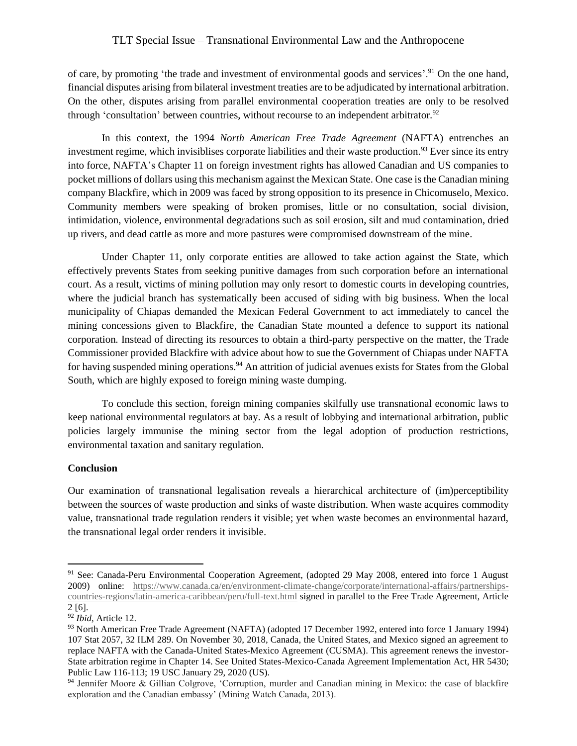of care, by promoting 'the trade and investment of environmental goods and services'.<sup>91</sup> On the one hand, financial disputes arising from bilateral investment treaties are to be adjudicated by international arbitration. On the other, disputes arising from parallel environmental cooperation treaties are only to be resolved through 'consultation' between countries, without recourse to an independent arbitrator.<sup>92</sup>

In this context, the 1994 *North American Free Trade Agreement* (NAFTA) entrenches an investment regime, which invisiblises corporate liabilities and their waste production.<sup>93</sup> Ever since its entry into force, NAFTA's Chapter 11 on foreign investment rights has allowed Canadian and US companies to pocket millions of dollars using this mechanism against the Mexican State. One case is the Canadian mining company Blackfire, which in 2009 was faced by strong opposition to its presence in Chicomuselo, Mexico. Community members were speaking of broken promises, little or no consultation, social division, intimidation, violence, environmental degradations such as soil erosion, silt and mud contamination, dried up rivers, and dead cattle as more and more pastures were compromised downstream of the mine.

Under Chapter 11, only corporate entities are allowed to take action against the State, which effectively prevents States from seeking punitive damages from such corporation before an international court. As a result, victims of mining pollution may only resort to domestic courts in developing countries, where the judicial branch has systematically been accused of siding with big business. When the local municipality of Chiapas demanded the Mexican Federal Government to act immediately to cancel the mining concessions given to Blackfire, the Canadian State mounted a defence to support its national corporation. Instead of directing its resources to obtain a third-party perspective on the matter, the Trade Commissioner provided Blackfire with advice about how to sue the Government of Chiapas under NAFTA for having suspended mining operations.<sup>94</sup> An attrition of judicial avenues exists for States from the Global South, which are highly exposed to foreign mining waste dumping.

To conclude this section, foreign mining companies skilfully use transnational economic laws to keep national environmental regulators at bay. As a result of lobbying and international arbitration, public policies largely immunise the mining sector from the legal adoption of production restrictions, environmental taxation and sanitary regulation.

### **Conclusion**

 $\overline{a}$ 

Our examination of transnational legalisation reveals a hierarchical architecture of (im)perceptibility between the sources of waste production and sinks of waste distribution. When waste acquires commodity value, transnational trade regulation renders it visible; yet when waste becomes an environmental hazard, the transnational legal order renders it invisible.

<sup>&</sup>lt;sup>91</sup> See: Canada-Peru Environmental Cooperation Agreement, (adopted 29 May 2008, entered into force 1 August 2009) online: [https://www.canada.ca/en/environment-climate-change/corporate/international-affairs/partnerships](https://www.canada.ca/en/environment-climate-change/corporate/international-affairs/partnerships-countries-regions/latin-america-caribbean/peru/full-text.html)[countries-regions/latin-america-caribbean/peru/full-text.html](https://www.canada.ca/en/environment-climate-change/corporate/international-affairs/partnerships-countries-regions/latin-america-caribbean/peru/full-text.html) signed in parallel to the Free Trade Agreement, Article 2 [6].

<sup>92</sup> *Ibid*, Article 12.

<sup>93</sup> North American Free Trade Agreement (NAFTA) (adopted 17 December 1992, entered into force 1 January 1994) 107 Stat 2057, 32 ILM 289. On November 30, 2018, Canada, the United States, and Mexico signed an agreement to replace NAFTA with the Canada-United States-Mexico Agreement (CUSMA). This agreement renews the investor-State arbitration regime in Chapter 14. See United States-Mexico-Canada Agreement Implementation Act, HR 5430; Public Law 116-113; 19 USC January 29, 2020 (US).

<sup>94</sup> Jennifer Moore & Gillian Colgrove, 'Corruption, murder and Canadian mining in Mexico: the case of blackfire exploration and the Canadian embassy' (Mining Watch Canada, 2013).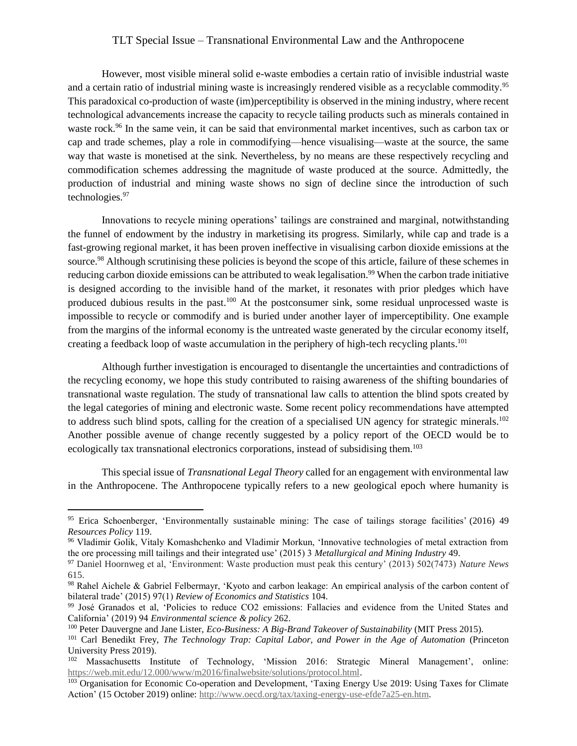However, most visible mineral solid e-waste embodies a certain ratio of invisible industrial waste and a certain ratio of industrial mining waste is increasingly rendered visible as a recyclable commodity.<sup>95</sup> This paradoxical co-production of waste (im)perceptibility is observed in the mining industry, where recent technological advancements increase the capacity to recycle tailing products such as minerals contained in waste rock.<sup>96</sup> In the same vein, it can be said that environmental market incentives, such as carbon tax or cap and trade schemes, play a role in commodifying—hence visualising—waste at the source, the same way that waste is monetised at the sink. Nevertheless, by no means are these respectively recycling and commodification schemes addressing the magnitude of waste produced at the source. Admittedly, the production of industrial and mining waste shows no sign of decline since the introduction of such technologies.<sup>97</sup>

Innovations to recycle mining operations' tailings are constrained and marginal, notwithstanding the funnel of endowment by the industry in marketising its progress. Similarly, while cap and trade is a fast-growing regional market, it has been proven ineffective in visualising carbon dioxide emissions at the source.<sup>98</sup> Although scrutinising these policies is beyond the scope of this article, failure of these schemes in reducing carbon dioxide emissions can be attributed to weak legalisation.<sup>99</sup> When the carbon trade initiative is designed according to the invisible hand of the market, it resonates with prior pledges which have produced dubious results in the past.<sup>100</sup> At the postconsumer sink, some residual unprocessed waste is impossible to recycle or commodify and is buried under another layer of imperceptibility. One example from the margins of the informal economy is the untreated waste generated by the circular economy itself, creating a feedback loop of waste accumulation in the periphery of high-tech recycling plants.<sup>101</sup>

Although further investigation is encouraged to disentangle the uncertainties and contradictions of the recycling economy, we hope this study contributed to raising awareness of the shifting boundaries of transnational waste regulation. The study of transnational law calls to attention the blind spots created by the legal categories of mining and electronic waste. Some recent policy recommendations have attempted to address such blind spots, calling for the creation of a specialised UN agency for strategic minerals.<sup>102</sup> Another possible avenue of change recently suggested by a policy report of the OECD would be to ecologically tax transnational electronics corporations, instead of subsidising them.<sup>103</sup>

This special issue of *Transnational Legal Theory* called for an engagement with environmental law in the Anthropocene. The Anthropocene typically refers to a new geological epoch where humanity is

<sup>95</sup> Erica Schoenberger, 'Environmentally sustainable mining: The case of tailings storage facilities' (2016) 49 *Resources Policy* 119.

<sup>96</sup> Vladimir Golik, Vitaly Komashchenko and Vladimir Morkun, 'Innovative technologies of metal extraction from the ore processing mill tailings and their integrated use' (2015) 3 *Metallurgical and Mining Industry* 49.

<sup>97</sup> Daniel Hoornweg et al, 'Environment: Waste production must peak this century' (2013) 502(7473) *Nature News* 615.

<sup>98</sup> Rahel Aichele & Gabriel Felbermayr, 'Kyoto and carbon leakage: An empirical analysis of the carbon content of bilateral trade' (2015) 97(1) *Review of Economics and Statistics* 104.

<sup>99</sup> José Granados et al, 'Policies to reduce CO2 emissions: Fallacies and evidence from the United States and California' (2019) 94 *Environmental science & policy* 262.

<sup>100</sup> Peter Dauvergne and Jane Lister, *Eco-Business: A Big-Brand Takeover of Sustainability* (MIT Press 2015).

<sup>101</sup> Carl Benedikt Frey, *The Technology Trap: Capital Labor, and Power in the Age of Automation* (Princeton University Press 2019).

<sup>&</sup>lt;sup>102</sup> Massachusetts Institute of Technology, 'Mission 2016: Strategic Mineral Management', online: [https://web.mit.edu/12.000/www/m2016/finalwebsite/solutions/protocol.html.](https://web.mit.edu/12.000/www/m2016/finalwebsite/solutions/protocol.html)

<sup>&</sup>lt;sup>103</sup> Organisation for Economic Co-operation and Development, 'Taxing Energy Use 2019: Using Taxes for Climate Action' (15 October 2019) online: [http://www.oecd.org/tax/taxing-energy-use-efde7a25-en.htm.](http://www.oecd.org/tax/taxing-energy-use-efde7a25-en.htm)